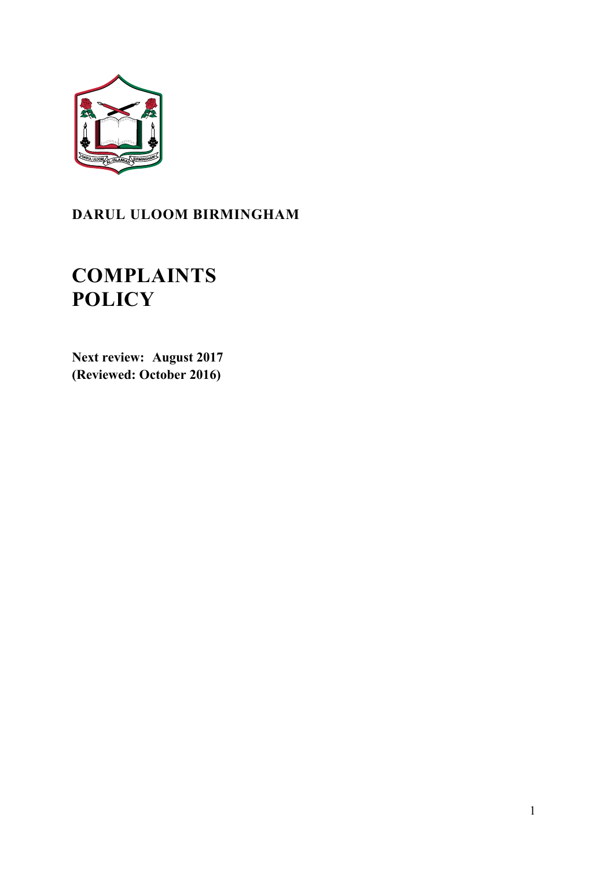

## **DARUL ULOOM BIRMINGHAM**

# **COMPLAINTS POLICY**

**Next review: August 2017 (Reviewed: October 2016)**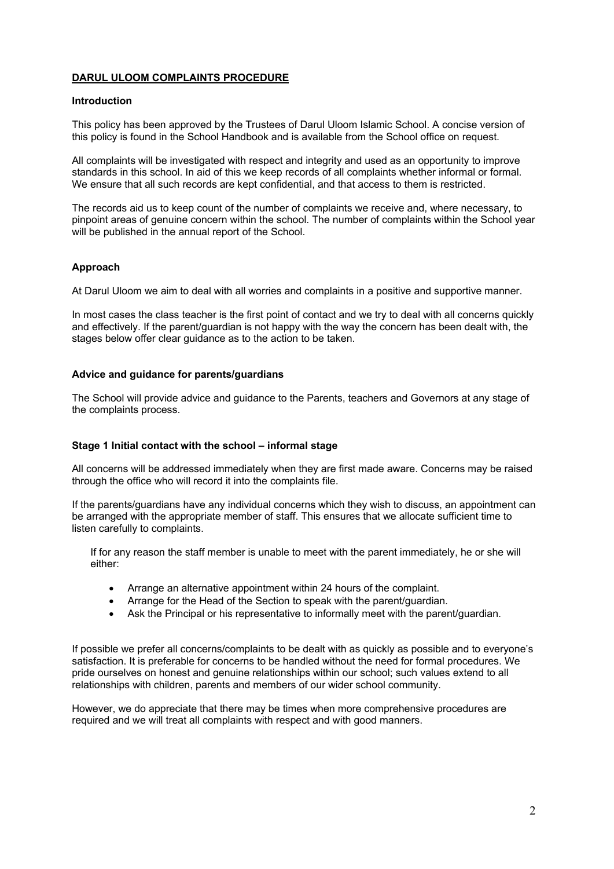### **DARUL ULOOM COMPLAINTS PROCEDURE**

#### **Introduction**

This policy has been approved by the Trustees of Darul Uloom Islamic School. A concise version of this policy is found in the School Handbook and is available from the School office on request.

All complaints will be investigated with respect and integrity and used as an opportunity to improve standards in this school. In aid of this we keep records of all complaints whether informal or formal. We ensure that all such records are kept confidential, and that access to them is restricted.

The records aid us to keep count of the number of complaints we receive and, where necessary, to pinpoint areas of genuine concern within the school. The number of complaints within the School year will be published in the annual report of the School.

#### **Approach**

At Darul Uloom we aim to deal with all worries and complaints in a positive and supportive manner.

In most cases the class teacher is the first point of contact and we try to deal with all concerns quickly and effectively. If the parent/guardian is not happy with the way the concern has been dealt with, the stages below offer clear guidance as to the action to be taken.

#### **Advice and guidance for parents/guardians**

The School will provide advice and guidance to the Parents, teachers and Governors at any stage of the complaints process.

#### **Stage 1 Initial contact with the school – informal stage**

All concerns will be addressed immediately when they are first made aware. Concerns may be raised through the office who will record it into the complaints file.

If the parents/guardians have any individual concerns which they wish to discuss, an appointment can be arranged with the appropriate member of staff. This ensures that we allocate sufficient time to listen carefully to complaints.

If for any reason the staff member is unable to meet with the parent immediately, he or she will either:

- Arrange an alternative appointment within 24 hours of the complaint.
- Arrange for the Head of the Section to speak with the parent/guardian.
- Ask the Principal or his representative to informally meet with the parent/guardian.

If possible we prefer all concerns/complaints to be dealt with as quickly as possible and to everyone's satisfaction. It is preferable for concerns to be handled without the need for formal procedures. We pride ourselves on honest and genuine relationships within our school; such values extend to all relationships with children, parents and members of our wider school community.

However, we do appreciate that there may be times when more comprehensive procedures are required and we will treat all complaints with respect and with good manners.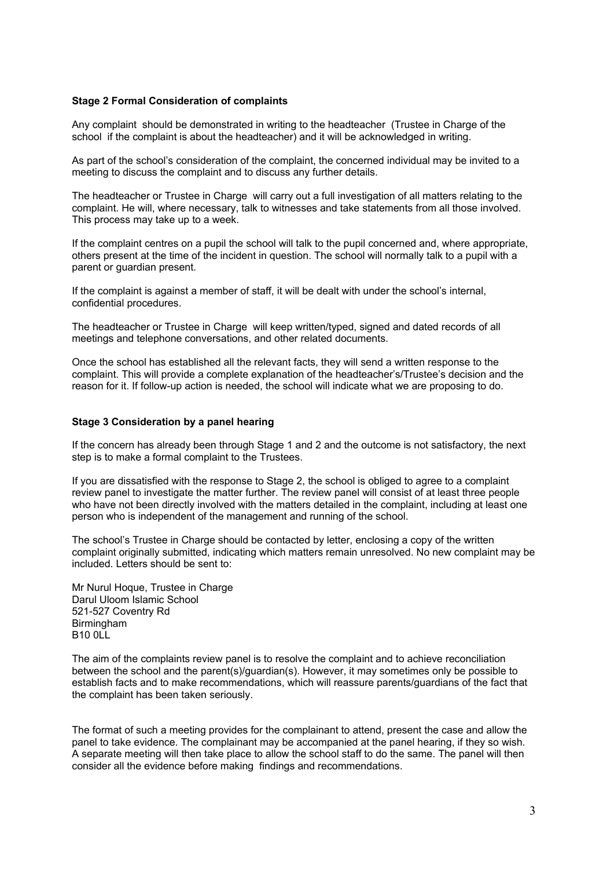#### **Stage 2 Formal Consideration of complaints**

Any complaint should be demonstrated in writing to the headteacher (Trustee in Charge of the school if the complaint is about the headteacher) and it will be acknowledged in writing.

As part of the school's consideration of the complaint, the concerned individual may be invited to a meeting to discuss the complaint and to discuss any further details.

The headteacher or Trustee in Charge will carry out a full investigation of all matters relating to the complaint. He will, where necessary, talk to witnesses and take statements from all those involved. This process may take up to a week.

If the complaint centres on a pupil the school will talk to the pupil concerned and, where appropriate, others present at the time of the incident in question. The school will normally talk to a pupil with a parent or quardian present.

If the complaint is against a member of staff, it will be dealt with under the school's internal, confidential procedures.

The headteacher or Trustee in Charge will keep written/typed, signed and dated records of all meetings and telephone conversations, and other related documents.

Once the school has established all the relevant facts, they will send a written response to the complaint. This will provide a complete explanation of the headteacher's/Trustee's decision and the reason for it. If follow-up action is needed, the school will indicate what we are proposing to do.

#### **Stage 3 Consideration by a panel hearing**

If the concern has already been through Stage 1 and 2 and the outcome is not satisfactory, the next step is to make a formal complaint to the Trustees.

If you are dissatisfied with the response to Stage 2, the school is obliged to agree to a complaint review panel to investigate the matter further. The review panel will consist of at least three people who have not been directly involved with the matters detailed in the complaint, including at least one person who is independent of the management and running of the school.

The school's Trustee in Charge should be contacted by letter, enclosing a copy of the written complaint originally submitted, indicating which matters remain unresolved. No new complaint may be included. Letters should be sent to:

Mr Nurul Hoque, Trustee in Charge Darul Uloom Islamic School 521-527 Coventry Rd Birmingham B10 0LL

The aim of the complaints review panel is to resolve the complaint and to achieve reconciliation between the school and the parent(s)/guardian(s). However, it may sometimes only be possible to establish facts and to make recommendations, which will reassure parents/guardians of the fact that the complaint has been taken seriously.

The format of such a meeting provides for the complainant to attend, present the case and allow the panel to take evidence. The complainant may be accompanied at the panel hearing, if they so wish. A separate meeting will then take place to allow the school staff to do the same. The panel will then consider all the evidence before making findings and recommendations.